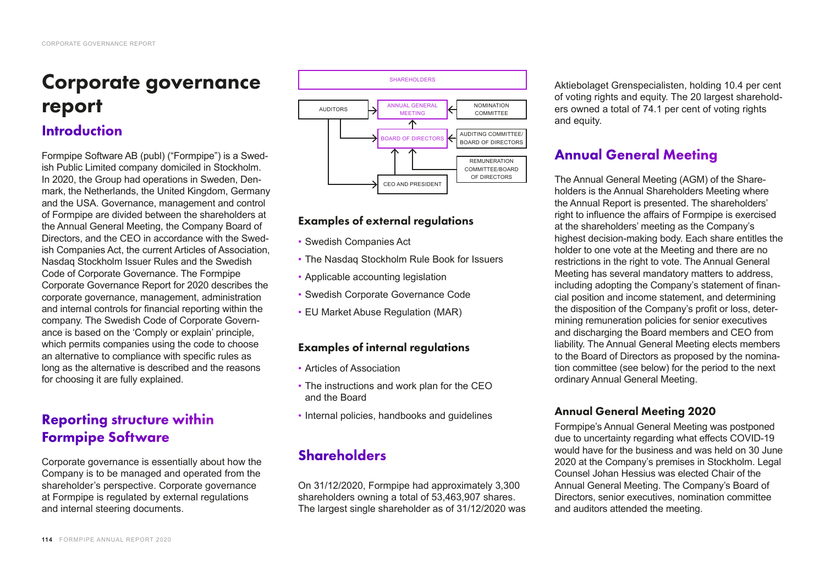# Corporate governance report

# **Introduction**

Formpipe Software AB (publ) ("Formpipe") is a Swedish Public Limited company domiciled in Stockholm. In 2020, the Group had operations in Sweden, Denmark, the Netherlands, the United Kingdom, Germany and the USA. Governance, management and control of Formpipe are divided between the shareholders at the Annual General Meeting, the Company Board of Directors, and the CEO in accordance with the Swedish Companies Act, the current Articles of Association, Nasdaq Stockholm Issuer Rules and the Swedish Code of Corporate Governance. The Formpipe Corporate Governance Report for 2020 describes the corporate governance, management, administration and internal controls for financial reporting within the company. The Swedish Code of Corporate Governance is based on the 'Comply or explain' principle, which permits companies using the code to choose an alternative to compliance with specific rules as long as the alternative is described and the reasons for choosing it are fully explained.

# Reporting structure within Formpipe Software

Corporate governance is essentially about how the Company is to be managed and operated from the shareholder's perspective. Corporate governance at Formpipe is regulated by external regulations and internal steering documents.



## Examples of external regulations

- Swedish Companies Act
- The Nasdaq Stockholm Rule Book for Issuers
- Applicable accounting legislation
- Swedish Corporate Governance Code
- EU Market Abuse Regulation (MAR)

### Examples of internal regulations

- Articles of Association
- The instructions and work plan for the CEO and the Board
- Internal policies, handbooks and guidelines

# **Shareholders**

On 31/12/2020, Formpipe had approximately 3,300 shareholders owning a total of 53,463,907 shares. The largest single shareholder as of 31/12/2020 was Aktiebolaget Grenspecialisten, holding 10.4 per cent of voting rights and equity. The 20 largest shareholders owned a total of 74.1 per cent of voting rights and equity.

# Annual General Meeting

The Annual General Meeting (AGM) of the Shareholders is the Annual Shareholders Meeting where the Annual Report is presented. The shareholders' right to influence the affairs of Formpipe is exercised at the shareholders' meeting as the Company's highest decision-making body. Each share entitles the holder to one vote at the Meeting and there are no restrictions in the right to vote. The Annual General Meeting has several mandatory matters to address, including adopting the Company's statement of financial position and income statement, and determining the disposition of the Company's profit or loss, determining remuneration policies for senior executives and discharging the Board members and CEO from liability. The Annual General Meeting elects members to the Board of Directors as proposed by the nomination committee (see below) for the period to the next ordinary Annual General Meeting.

# Annual General Meeting 2020

Formpipe's Annual General Meeting was postponed due to uncertainty regarding what effects COVID-19 would have for the business and was held on 30 June 2020 at the Company's premises in Stockholm. Legal Counsel Johan Hessius was elected Chair of the Annual General Meeting. The Company's Board of Directors, senior executives, nomination committee and auditors attended the meeting.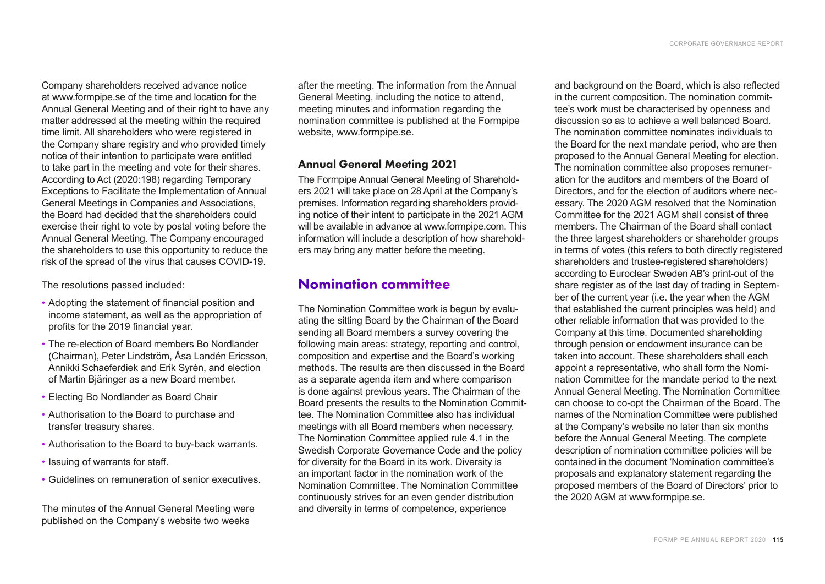Company shareholders received advance notice at [www.formpipe.se](http://www.formpipe.se) of the time and location for the Annual General Meeting and of their right to have any matter addressed at the meeting within the required time limit. All shareholders who were registered in the Company share registry and who provided timely notice of their intention to participate were entitled to take part in the meeting and vote for their shares. According to Act (2020:198) regarding Temporary Exceptions to Facilitate the Implementation of Annual General Meetings in Companies and Associations, the Board had decided that the shareholders could exercise their right to vote by postal voting before the Annual General Meeting. The Company encouraged the shareholders to use this opportunity to reduce the risk of the spread of the virus that causes COVID-19.

The resolutions passed included:

- Adopting the statement of financial position and income statement, as well as the appropriation of profits for the 2019 financial year.
- The re-election of Board members Bo Nordlander (Chairman), Peter Lindström, Åsa Landén Ericsson, Annikki Schaeferdiek and Erik Syrén, and election of Martin Bjäringer as a new Board member.
- Electing Bo Nordlander as Board Chair
- Authorisation to the Board to purchase and transfer treasury shares.
- Authorisation to the Board to buy-back warrants.
- Issuing of warrants for staff.
- Guidelines on remuneration of senior executives.

The minutes of the Annual General Meeting were published on the Company's website two weeks

after the meeting. The information from the Annual General Meeting, including the notice to attend, meeting minutes and information regarding the nomination committee is published at the Formpipe website, [www.formpipe.se.](http://www.formpipe.se)

### Annual General Meeting 2021

The Formpipe Annual General Meeting of Shareholders 2021 will take place on 28 April at the Company's premises. Information regarding shareholders providing notice of their intent to participate in the 2021 AGM will be available in advance at [www.formpipe.com](http://www.formpipe.com). This information will include a description of how shareholders may bring any matter before the meeting.

# Nomination committee

The Nomination Committee work is begun by evaluating the sitting Board by the Chairman of the Board sending all Board members a survey covering the following main areas: strategy, reporting and control, composition and expertise and the Board's working methods. The results are then discussed in the Board as a separate agenda item and where comparison is done against previous years. The Chairman of the Board presents the results to the Nomination Committee. The Nomination Committee also has individual meetings with all Board members when necessary. The Nomination Committee applied rule 4.1 in the Swedish Corporate Governance Code and the policy for diversity for the Board in its work. Diversity is an important factor in the nomination work of the Nomination Committee. The Nomination Committee continuously strives for an even gender distribution and diversity in terms of competence, experience

and background on the Board, which is also reflected in the current composition. The nomination committee's work must be characterised by openness and discussion so as to achieve a well balanced Board. The nomination committee nominates individuals to the Board for the next mandate period, who are then proposed to the Annual General Meeting for election. The nomination committee also proposes remuneration for the auditors and members of the Board of Directors, and for the election of auditors where necessary. The 2020 AGM resolved that the Nomination Committee for the 2021 AGM shall consist of three members. The Chairman of the Board shall contact the three largest shareholders or shareholder groups in terms of votes (this refers to both directly registered shareholders and trustee-registered shareholders) according to Euroclear Sweden AB's print-out of the share register as of the last day of trading in September of the current year (i.e. the year when the AGM that established the current principles was held) and other reliable information that was provided to the Company at this time. Documented shareholding through pension or endowment insurance can be taken into account. These shareholders shall each appoint a representative, who shall form the Nomination Committee for the mandate period to the next Annual General Meeting. The Nomination Committee can choose to co-opt the Chairman of the Board. The names of the Nomination Committee were published at the Company's website no later than six months before the Annual General Meeting. The complete description of nomination committee policies will be contained in the document 'Nomination committee's proposals and explanatory statement regarding the proposed members of the Board of Directors' prior to the 2020 AGM at [www.formpipe.se.](http://www.formpipe.se)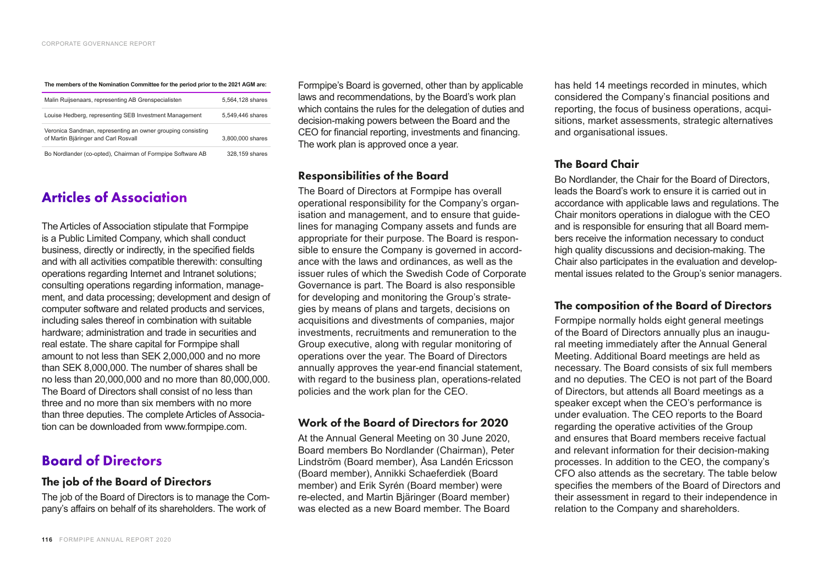**The members of the Nomination Committee for the period prior to the 2021 AGM are:** 

| Malin Ruijsenaars, representing AB Grenspecialisten                                                 | 5.564.128 shares |
|-----------------------------------------------------------------------------------------------------|------------------|
| Louise Hedberg, representing SEB Investment Management                                              | 5.549.446 shares |
| Veronica Sandman, representing an owner grouping consisting<br>of Martin Bjäringer and Carl Rosvall | 3.800,000 shares |
| Bo Nordlander (co-opted), Chairman of Formpipe Software AB                                          | 328,159 shares   |

# Articles of Association

The Articles of Association stipulate that Formpipe is a Public Limited Company, which shall conduct business, directly or indirectly, in the specified fields and with all activities compatible therewith: consulting operations regarding Internet and Intranet solutions; consulting operations regarding information, management, and data processing; development and design of computer software and related products and services, including sales thereof in combination with suitable hardware; administration and trade in securities and real estate. The share capital for Formpipe shall amount to not less than SEK 2,000,000 and no more than SEK 8,000,000. The number of shares shall be no less than 20,000,000 and no more than 80,000,000. The Board of Directors shall consist of no less than three and no more than six members with no more than three deputies. The complete Articles of Association can be downloaded from [www.formpipe.com](http://www.formpipe.com).

# Board of Directors

#### The job of the Board of Directors

The job of the Board of Directors is to manage the Company's affairs on behalf of its shareholders. The work of

Formpipe's Board is governed, other than by applicable laws and recommendations, by the Board's work plan which contains the rules for the delegation of duties and decision-making powers between the Board and the CEO for financial reporting, investments and financing. The work plan is approved once a year.

### Responsibilities of the Board

The Board of Directors at Formpipe has overall operational responsibility for the Company's organisation and management, and to ensure that guidelines for managing Company assets and funds are appropriate for their purpose. The Board is responsible to ensure the Company is governed in accordance with the laws and ordinances, as well as the issuer rules of which the Swedish Code of Corporate Governance is part. The Board is also responsible for developing and monitoring the Group's strategies by means of plans and targets, decisions on acquisitions and divestments of companies, major investments, recruitments and remuneration to the Group executive, along with regular monitoring of operations over the year. The Board of Directors annually approves the year-end financial statement, with regard to the business plan, operations-related policies and the work plan for the CEO.

### Work of the Board of Directors for 2020

At the Annual General Meeting on 30 June 2020, Board members Bo Nordlander (Chairman), Peter Lindström (Board member), Åsa Landén Ericsson (Board member), Annikki Schaeferdiek (Board member) and Erik Syrén (Board member) were re-elected, and Martin Bjäringer (Board member) was elected as a new Board member. The Board

has held 14 meetings recorded in minutes, which considered the Company's financial positions and reporting, the focus of business operations, acquisitions, market assessments, strategic alternatives and organisational issues.

### The Board Chair

Bo Nordlander, the Chair for the Board of Directors, leads the Board's work to ensure it is carried out in accordance with applicable laws and regulations. The Chair monitors operations in dialogue with the CEO and is responsible for ensuring that all Board members receive the information necessary to conduct high quality discussions and decision-making. The Chair also participates in the evaluation and developmental issues related to the Group's senior managers.

### The composition of the Board of Directors

Formpipe normally holds eight general meetings of the Board of Directors annually plus an inaugural meeting immediately after the Annual General Meeting. Additional Board meetings are held as necessary. The Board consists of six full members and no deputies. The CEO is not part of the Board of Directors, but attends all Board meetings as a speaker except when the CEO's performance is under evaluation. The CEO reports to the Board regarding the operative activities of the Group and ensures that Board members receive factual and relevant information for their decision-making processes. In addition to the CEO, the company's CFO also attends as the secretary. The table below specifies the members of the Board of Directors and their assessment in regard to their independence in relation to the Company and shareholders.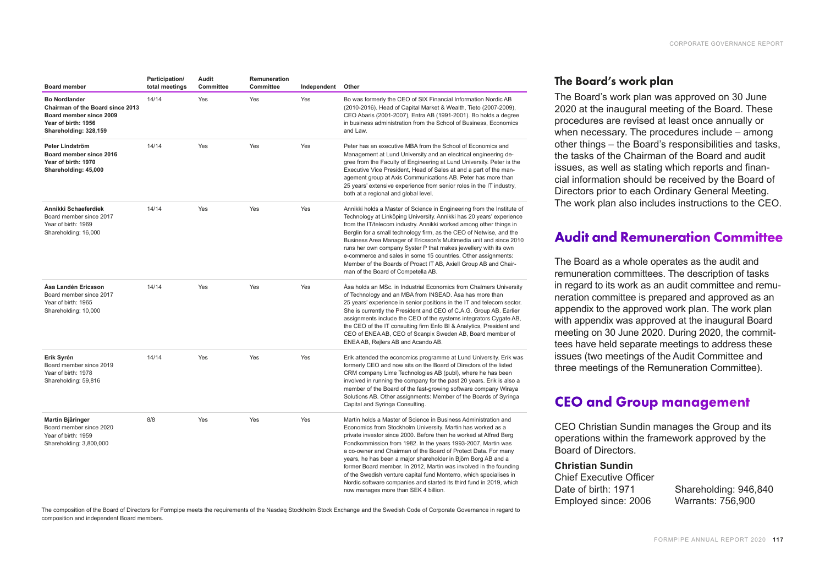| <b>Board member</b>                                                                                                                 | Participation/<br>total meetings | Audit<br>Committee | Remuneration<br>Committee | Independent | Other                                                                                                                                                                                                                                                                                                                                                                                                                                                                                                                                                                                                                                                            |
|-------------------------------------------------------------------------------------------------------------------------------------|----------------------------------|--------------------|---------------------------|-------------|------------------------------------------------------------------------------------------------------------------------------------------------------------------------------------------------------------------------------------------------------------------------------------------------------------------------------------------------------------------------------------------------------------------------------------------------------------------------------------------------------------------------------------------------------------------------------------------------------------------------------------------------------------------|
| <b>Bo Nordlander</b><br>Chairman of the Board since 2013<br>Board member since 2009<br>Year of birth: 1956<br>Shareholding: 328,159 | 14/14                            | Yes                | Yes                       | Yes         | Bo was formerly the CEO of SIX Financial Information Nordic AB<br>(2010-2016). Head of Capital Market & Wealth, Tieto (2007-2009),<br>CEO Abaris (2001-2007), Entra AB (1991-2001). Bo holds a degree<br>in business administration from the School of Business, Economics<br>and Law.                                                                                                                                                                                                                                                                                                                                                                           |
| Peter Lindström<br>Board member since 2016<br>Year of birth: 1970<br>Shareholding: 45,000                                           | 14/14                            | Yes                | Yes                       | Yes         | Peter has an executive MBA from the School of Economics and<br>Management at Lund University and an electrical engineering de-<br>gree from the Faculty of Engineering at Lund University. Peter is the<br>Executive Vice President, Head of Sales at and a part of the man-<br>agement group at Axis Communications AB. Peter has more than<br>25 years' extensive experience from senior roles in the IT industry,<br>both at a regional and global level.                                                                                                                                                                                                     |
| Annikki Schaeferdiek<br>Board member since 2017<br>Year of birth: 1969<br>Shareholding: 16,000                                      | 14/14                            | Yes                | Yes                       | Yes         | Annikki holds a Master of Science in Engineering from the Institute of<br>Technology at Linköping University. Annikki has 20 years' experience<br>from the IT/telecom industry. Annikki worked among other things in<br>Berglin for a small technology firm, as the CEO of Netwise, and the<br>Business Area Manager of Ericsson's Multimedia unit and since 2010<br>runs her own company Syster P that makes jewellery with its own<br>e-commerce and sales in some 15 countries. Other assignments:<br>Member of the Boards of Proact IT AB, Axiell Group AB and Chair-<br>man of the Board of Competella AB.                                                  |
| Åsa Landén Ericsson<br>Board member since 2017<br>Year of birth: 1965<br>Shareholding: 10,000                                       | 14/14                            | Yes                | Yes                       | Yes         | Åsa holds an MSc. in Industrial Economics from Chalmers University<br>of Technology and an MBA from INSEAD. Asa has more than<br>25 years' experience in senior positions in the IT and telecom sector.<br>She is currently the President and CEO of C.A.G. Group AB. Earlier<br>assignments include the CEO of the systems integrators Cygate AB,<br>the CEO of the IT consulting firm Enfo BI & Analytics, President and<br>CEO of ENEA AB, CEO of Scanpix Sweden AB, Board member of<br>ENEA AB, Rejlers AB and Acando AB.                                                                                                                                    |
| Erik Syrén<br>Board member since 2019<br>Year of birth: 1978<br>Shareholding: 59,816                                                | 14/14                            | Yes                | Yes                       | Yes         | Erik attended the economics programme at Lund University. Erik was<br>formerly CEO and now sits on the Board of Directors of the listed<br>CRM company Lime Technologies AB (publ), where he has been<br>involved in running the company for the past 20 years. Erik is also a<br>member of the Board of the fast-growing software company Wiraya<br>Solutions AB. Other assignments: Member of the Boards of Syringa<br>Capital and Syringa Consulting.                                                                                                                                                                                                         |
| Martin Bjäringer<br>Board member since 2020<br>Year of birth: 1959<br>Shareholding: 3,800,000                                       | 8/8                              | Yes                | Yes                       | Yes         | Martin holds a Master of Science in Business Administration and<br>Economics from Stockholm University. Martin has worked as a<br>private investor since 2000. Before then he worked at Alfred Berg<br>Fondkommission from 1982. In the years 1993-2007, Martin was<br>a co-owner and Chairman of the Board of Protect Data. For many<br>years, he has been a major shareholder in Björn Borg AB and a<br>former Board member. In 2012, Martin was involved in the founding<br>of the Swedish venture capital fund Monterro, which specialises in<br>Nordic software companies and started its third fund in 2019, which<br>now manages more than SEK 4 billion. |

### The Board's work plan

The Board's work plan was approved on 30 June 2020 at the inaugural meeting of the Board. These procedures are revised at least once annually or when necessary. The procedures include  $-$  among other things – the Board's responsibilities and tasks, the tasks of the Chairman of the Board and audit issues, as well as stating which reports and financial information should be received by the Board of Directors prior to each Ordinary General Meeting. The work plan also includes instructions to the CEO.

# Audit and Remuneration Committee

The Board as a whole operates as the audit and remuneration committees. The description of tasks in regard to its work as an audit committee and remuneration committee is prepared and approved as an appendix to the approved work plan. The work plan with appendix was approved at the inaugural Board meeting on 30 June 2020. During 2020, the committees have held separate meetings to address these issues (two meetings of the Audit Committee and three meetings of the Remuneration Committee).

# CEO and Group management

CEO Christian Sundin manages the Group and its operations within the framework approved by the Board of Directors.

#### **Christian Sundin**

Chief Executive Officer Date of birth: 1971 Employed since: 2006

Shareholding: 946,840 Warrants: 756,900

The composition of the Board of Directors for Formpipe meets the requirements of the Nasdaq Stockholm Stock Exchange and the Swedish Code of Corporate Governance in regard to composition and independent Board members.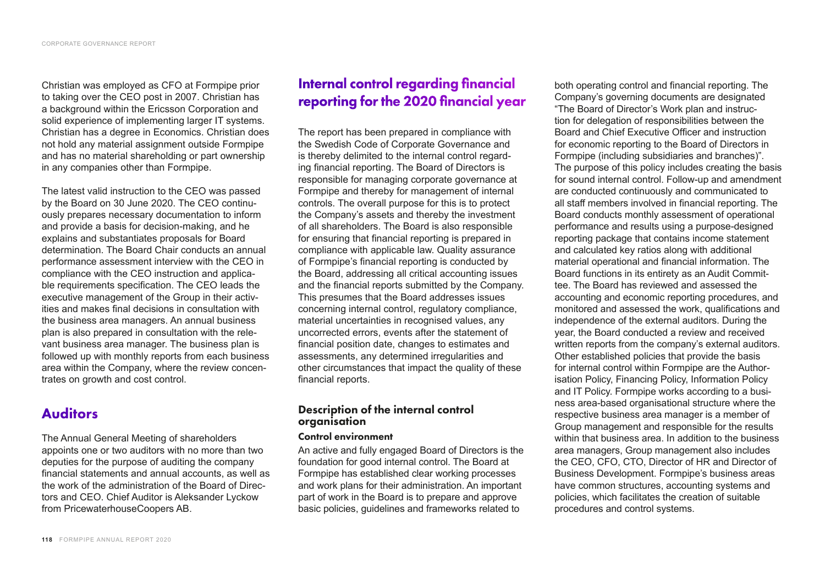Christian was employed as CFO at Formpipe prior to taking over the CEO post in 2007. Christian has a background within the Ericsson Corporation and solid experience of implementing larger IT systems. Christian has a degree in Economics. Christian does not hold any material assignment outside Formpipe and has no material shareholding or part ownership in any companies other than Formpipe.

The latest valid instruction to the CEO was passed by the Board on 30 June 2020. The CEO continuously prepares necessary documentation to inform and provide a basis for decision-making, and he explains and substantiates proposals for Board determination. The Board Chair conducts an annual performance assessment interview with the CEO in compliance with the CEO instruction and applicable requirements specification. The CEO leads the executive management of the Group in their activities and makes final decisions in consultation with the business area managers. An annual business plan is also prepared in consultation with the relevant business area manager. The business plan is followed up with monthly reports from each business area within the Company, where the review concentrates on growth and cost control.

# Auditors

The Annual General Meeting of shareholders appoints one or two auditors with no more than two deputies for the purpose of auditing the company financial statements and annual accounts, as well as the work of the administration of the Board of Directors and CEO. Chief Auditor is Aleksander Lyckow from PricewaterhouseCoopers AB.

# Internal control regarding financial reporting for the 2020 financial year

The report has been prepared in compliance with the Swedish Code of Corporate Governance and is thereby delimited to the internal control regarding financial reporting. The Board of Directors is responsible for managing corporate governance at Formpipe and thereby for management of internal controls. The overall purpose for this is to protect the Company's assets and thereby the investment of all shareholders. The Board is also responsible for ensuring that financial reporting is prepared in compliance with applicable law. Quality assurance of Formpipe's financial reporting is conducted by the Board, addressing all critical accounting issues and the financial reports submitted by the Company. This presumes that the Board addresses issues concerning internal control, regulatory compliance, material uncertainties in recognised values, any uncorrected errors, events after the statement of financial position date, changes to estimates and assessments, any determined irregularities and other circumstances that impact the quality of these financial reports.

### Description of the internal control organisation

#### Control environment

An active and fully engaged Board of Directors is the foundation for good internal control. The Board at Formpipe has established clear working processes and work plans for their administration. An important part of work in the Board is to prepare and approve basic policies, guidelines and frameworks related to

both operating control and financial reporting. The Company's governing documents are designated "The Board of Director's Work plan and instruction for delegation of responsibilities between the Board and Chief Executive Officer and instruction for economic reporting to the Board of Directors in Formpipe (including subsidiaries and branches)". The purpose of this policy includes creating the basis for sound internal control. Follow-up and amendment are conducted continuously and communicated to all staff members involved in financial reporting. The Board conducts monthly assessment of operational performance and results using a purpose-designed reporting package that contains income statement and calculated key ratios along with additional material operational and financial information. The Board functions in its entirety as an Audit Committee. The Board has reviewed and assessed the accounting and economic reporting procedures, and monitored and assessed the work, qualifications and independence of the external auditors. During the year, the Board conducted a review and received written reports from the company's external auditors. Other established policies that provide the basis for internal control within Formpipe are the Authorisation Policy, Financing Policy, Information Policy and IT Policy. Formpipe works according to a business area-based organisational structure where the respective business area manager is a member of Group management and responsible for the results within that business area. In addition to the business area managers, Group management also includes the CEO, CFO, CTO, Director of HR and Director of Business Development. Formpipe's business areas have common structures, accounting systems and policies, which facilitates the creation of suitable procedures and control systems.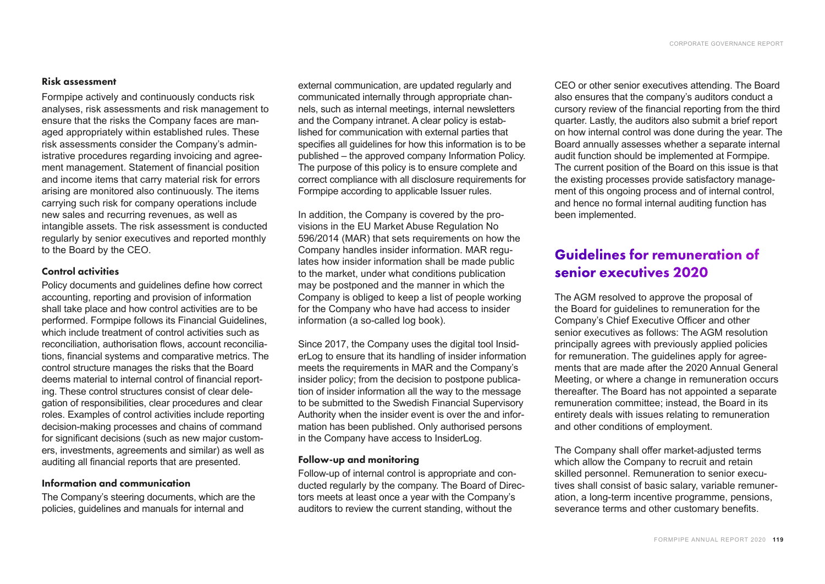#### Risk assessment

Formpipe actively and continuously conducts risk analyses, risk assessments and risk management to ensure that the risks the Company faces are managed appropriately within established rules. These risk assessments consider the Company's administrative procedures regarding invoicing and agreement management. Statement of financial position and income items that carry material risk for errors arising are monitored also continuously. The items carrying such risk for company operations include new sales and recurring revenues, as well as intangible assets. The risk assessment is conducted regularly by senior executives and reported monthly to the Board by the CEO.

#### Control activities

Policy documents and guidelines define how correct accounting, reporting and provision of information shall take place and how control activities are to be performed. Formpipe follows its Financial Guidelines, which include treatment of control activities such as reconciliation, authorisation flows, account reconciliations, financial systems and comparative metrics. The control structure manages the risks that the Board deems material to internal control of financial reporting. These control structures consist of clear delegation of responsibilities, clear procedures and clear roles. Examples of control activities include reporting decision-making processes and chains of command for significant decisions (such as new major customers, investments, agreements and similar) as well as auditing all financial reports that are presented.

#### Information and communication

The Company's steering documents, which are the policies, guidelines and manuals for internal and

external communication, are updated regularly and communicated internally through appropriate channels, such as internal meetings, internal newsletters and the Company intranet. A clear policy is established for communication with external parties that specifies all guidelines for how this information is to be published – the approved company Information Policy. The purpose of this policy is to ensure complete and correct compliance with all disclosure requirements for Formpipe according to applicable Issuer rules.

In addition, the Company is covered by the provisions in the EU Market Abuse Regulation No 596/2014 (MAR) that sets requirements on how the Company handles insider information. MAR regulates how insider information shall be made public to the market, under what conditions publication may be postponed and the manner in which the Company is obliged to keep a list of people working for the Company who have had access to insider information (a so-called log book).

Since 2017, the Company uses the digital tool InsiderLog to ensure that its handling of insider information meets the requirements in MAR and the Company's insider policy; from the decision to postpone publication of insider information all the way to the message to be submitted to the Swedish Financial Supervisory Authority when the insider event is over the and information has been published. Only authorised persons in the Company have access to InsiderLog.

#### Follow-up and monitoring

Follow-up of internal control is appropriate and conducted regularly by the company. The Board of Directors meets at least once a year with the Company's auditors to review the current standing, without the

CEO or other senior executives attending. The Board also ensures that the company's auditors conduct a cursory review of the financial reporting from the third quarter. Lastly, the auditors also submit a brief report on how internal control was done during the year. The Board annually assesses whether a separate internal audit function should be implemented at Formpipe. The current position of the Board on this issue is that the existing processes provide satisfactory management of this ongoing process and of internal control, and hence no formal internal auditing function has been implemented.

# Guidelines for remuneration of senior executives 2020

The AGM resolved to approve the proposal of the Board for guidelines to remuneration for the Company's Chief Executive Officer and other senior executives as follows: The AGM resolution principally agrees with previously applied policies for remuneration. The guidelines apply for agreements that are made after the 2020 Annual General Meeting, or where a change in remuneration occurs thereafter. The Board has not appointed a separate remuneration committee; instead, the Board in its entirety deals with issues relating to remuneration and other conditions of employment.

The Company shall offer market-adjusted terms which allow the Company to recruit and retain skilled personnel. Remuneration to senior executives shall consist of basic salary, variable remuneration, a long-term incentive programme, pensions, severance terms and other customary benefits.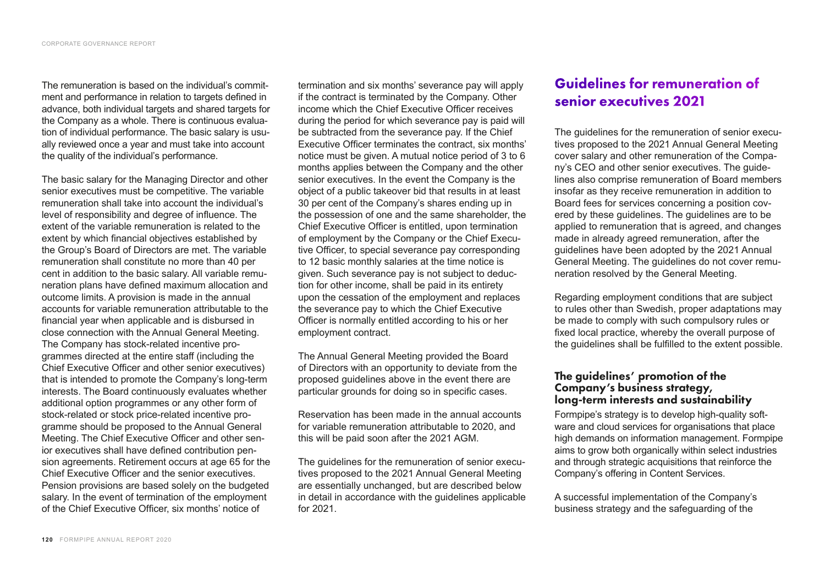The remuneration is based on the individual's commitment and performance in relation to targets defined in advance, both individual targets and shared targets for the Company as a whole. There is continuous evaluation of individual performance. The basic salary is usually reviewed once a year and must take into account the quality of the individual's performance.

The basic salary for the Managing Director and other senior executives must be competitive. The variable remuneration shall take into account the individual's level of responsibility and degree of influence. The extent of the variable remuneration is related to the extent by which financial objectives established by the Group's Board of Directors are met. The variable remuneration shall constitute no more than 40 per cent in addition to the basic salary. All variable remuneration plans have defined maximum allocation and outcome limits. A provision is made in the annual accounts for variable remuneration attributable to the financial year when applicable and is disbursed in close connection with the Annual General Meeting. The Company has stock-related incentive programmes directed at the entire staff (including the Chief Executive Officer and other senior executives) that is intended to promote the Company's long-term interests. The Board continuously evaluates whether additional option programmes or any other form of stock-related or stock price-related incentive programme should be proposed to the Annual General Meeting. The Chief Executive Officer and other senior executives shall have defined contribution pension agreements. Retirement occurs at age 65 for the Chief Executive Officer and the senior executives. Pension provisions are based solely on the budgeted salary. In the event of termination of the employment of the Chief Executive Officer, six months' notice of

termination and six months' severance pay will apply if the contract is terminated by the Company. Other income which the Chief Executive Officer receives during the period for which severance pay is paid will be subtracted from the severance pay. If the Chief Executive Officer terminates the contract, six months' notice must be given. A mutual notice period of 3 to 6 months applies between the Company and the other senior executives. In the event the Company is the object of a public takeover bid that results in at least 30 per cent of the Company's shares ending up in the possession of one and the same shareholder, the Chief Executive Officer is entitled, upon termination of employment by the Company or the Chief Executive Officer, to special severance pay corresponding to 12 basic monthly salaries at the time notice is given. Such severance pay is not subject to deduction for other income, shall be paid in its entirety upon the cessation of the employment and replaces the severance pay to which the Chief Executive Officer is normally entitled according to his or her employment contract.

The Annual General Meeting provided the Board of Directors with an opportunity to deviate from the proposed guidelines above in the event there are particular grounds for doing so in specific cases.

Reservation has been made in the annual accounts for variable remuneration attributable to 2020, and this will be paid soon after the 2021 AGM.

The guidelines for the remuneration of senior executives proposed to the 2021 Annual General Meeting are essentially unchanged, but are described below in detail in accordance with the guidelines applicable for 2021.

# Guidelines for remuneration of senior executives 2021

The guidelines for the remuneration of senior executives proposed to the 2021 Annual General Meeting cover salary and other remuneration of the Company's CEO and other senior executives. The guidelines also comprise remuneration of Board members insofar as they receive remuneration in addition to Board fees for services concerning a position covered by these guidelines. The guidelines are to be applied to remuneration that is agreed, and changes made in already agreed remuneration, after the guidelines have been adopted by the 2021 Annual General Meeting. The guidelines do not cover remuneration resolved by the General Meeting.

Regarding employment conditions that are subject to rules other than Swedish, proper adaptations may be made to comply with such compulsory rules or fixed local practice, whereby the overall purpose of the guidelines shall be fulfilled to the extent possible.

### The guidelines' promotion of the Company's business strategy, long-term interests and sustainability

Formpipe's strategy is to develop high-quality software and cloud services for organisations that place high demands on information management. Formpipe aims to grow both organically within select industries and through strategic acquisitions that reinforce the Company's offering in Content Services.

A successful implementation of the Company's business strategy and the safeguarding of the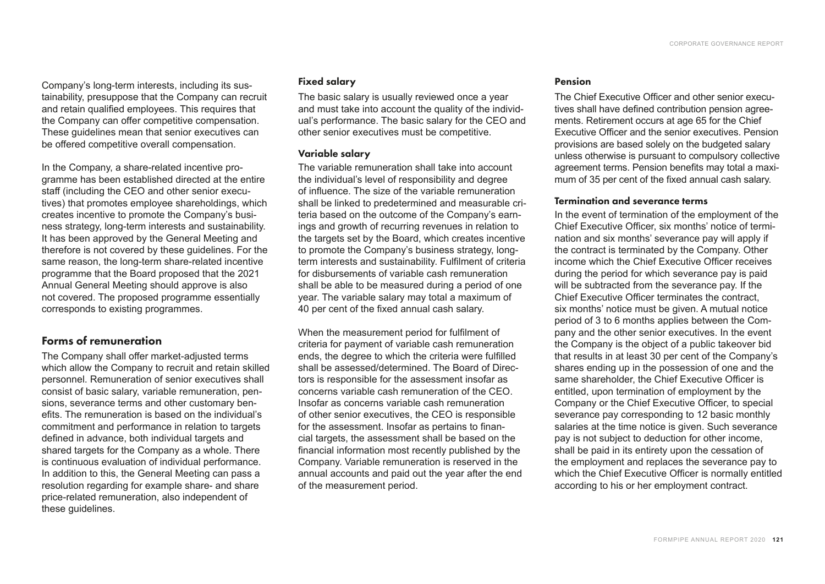Company's long-term interests, including its sustainability, presuppose that the Company can recruit and retain qualified employees. This requires that the Company can offer competitive compensation. These guidelines mean that senior executives can be offered competitive overall compensation.

In the Company, a share-related incentive programme has been established directed at the entire staff (including the CEO and other senior executives) that promotes employee shareholdings, which creates incentive to promote the Company's business strategy, long-term interests and sustainability. It has been approved by the General Meeting and therefore is not covered by these guidelines. For the same reason, the long-term share-related incentive programme that the Board proposed that the 2021 Annual General Meeting should approve is also not covered. The proposed programme essentially corresponds to existing programmes.

### Forms of remuneration

The Company shall offer market-adjusted terms which allow the Company to recruit and retain skilled personnel. Remuneration of senior executives shall consist of basic salary, variable remuneration, pensions, severance terms and other customary benefits. The remuneration is based on the individual's commitment and performance in relation to targets defined in advance, both individual targets and shared targets for the Company as a whole. There is continuous evaluation of individual performance. In addition to this, the General Meeting can pass a resolution regarding for example share- and share price-related remuneration, also independent of these guidelines.

#### Fixed salary

The basic salary is usually reviewed once a year and must take into account the quality of the individual's performance. The basic salary for the CEO and other senior executives must be competitive.

#### Variable salary

The variable remuneration shall take into account the individual's level of responsibility and degree of influence. The size of the variable remuneration shall be linked to predetermined and measurable criteria based on the outcome of the Company's earnings and growth of recurring revenues in relation to the targets set by the Board, which creates incentive to promote the Company's business strategy, longterm interests and sustainability. Fulfilment of criteria for disbursements of variable cash remuneration shall be able to be measured during a period of one year. The variable salary may total a maximum of 40 per cent of the fixed annual cash salary.

When the measurement period for fulfilment of criteria for payment of variable cash remuneration ends, the degree to which the criteria were fulfilled shall be assessed/determined. The Board of Directors is responsible for the assessment insofar as concerns variable cash remuneration of the CEO. Insofar as concerns variable cash remuneration of other senior executives, the CEO is responsible for the assessment. Insofar as pertains to financial targets, the assessment shall be based on the financial information most recently published by the Company. Variable remuneration is reserved in the annual accounts and paid out the year after the end of the measurement period.

#### Pension

The Chief Executive Officer and other senior executives shall have defined contribution pension agreements. Retirement occurs at age 65 for the Chief Executive Officer and the senior executives. Pension provisions are based solely on the budgeted salary unless otherwise is pursuant to compulsory collective agreement terms. Pension benefits may total a maximum of 35 per cent of the fixed annual cash salary.

#### Termination and severance terms

In the event of termination of the employment of the Chief Executive Officer, six months' notice of termination and six months' severance pay will apply if the contract is terminated by the Company. Other income which the Chief Executive Officer receives during the period for which severance pay is paid will be subtracted from the severance pay. If the Chief Executive Officer terminates the contract, six months' notice must be given. A mutual notice period of 3 to 6 months applies between the Company and the other senior executives. In the event the Company is the object of a public takeover bid that results in at least 30 per cent of the Company's shares ending up in the possession of one and the same shareholder, the Chief Executive Officer is entitled, upon termination of employment by the Company or the Chief Executive Officer, to special severance pay corresponding to 12 basic monthly salaries at the time notice is given. Such severance pay is not subject to deduction for other income, shall be paid in its entirety upon the cessation of the employment and replaces the severance pay to which the Chief Executive Officer is normally entitled according to his or her employment contract.